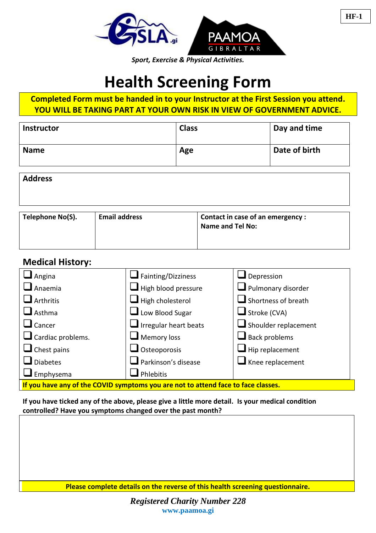

# **Health Screening Form**

**Completed Form must be handed in to your Instructor at the First Session you attend. YOU WILL BE TAKING PART AT YOUR OWN RISK IN VIEW OF GOVERNMENT ADVICE.**

| <b>Instructor</b> | <b>Class</b> | Day and time  |
|-------------------|--------------|---------------|
| <b>Name</b>       | Age          | Date of birth |

| <b>Address</b> |  |
|----------------|--|
|----------------|--|

| <sup>'</sup> Telephone No(S). | <b>Email address</b> | Contact in case of an emergency:<br>Name and Tel No: |
|-------------------------------|----------------------|------------------------------------------------------|
|-------------------------------|----------------------|------------------------------------------------------|

## **Medical History:**

| Angina                                                                            | $\blacksquare$ Fainting/Dizziness    | $\Box$ Depression               |  |  |
|-----------------------------------------------------------------------------------|--------------------------------------|---------------------------------|--|--|
| Anaemia                                                                           | $\blacksquare$ High blood pressure   | $\Box$ Pulmonary disorder       |  |  |
| Arthritis                                                                         | $\blacksquare$ High cholesterol      | $\Box$ Shortness of breath      |  |  |
| Asthma                                                                            | $\Box$ Low Blood Sugar               | $\blacksquare$ Stroke (CVA)     |  |  |
| $\Box$ Cancer                                                                     | $\blacksquare$ Irregular heart beats | Shoulder replacement            |  |  |
| $\Box$ Cardiac problems.                                                          | $\Box$ Memory loss                   | $\blacksquare$ Back problems    |  |  |
| $\Box$ Chest pains                                                                | $\Box$ Osteoporosis                  | $\blacksquare$ Hip replacement  |  |  |
| <b>Diabetes</b>                                                                   | Parkinson's disease                  | $\blacksquare$ Knee replacement |  |  |
| $\Box$ Emphysema                                                                  | Phlebitis                            |                                 |  |  |
| If you have any of the COVID symptoms you are not to attend face to face classes. |                                      |                                 |  |  |

**If you have ticked any of the above, please give a little more detail. Is your medical condition controlled? Have you symptoms changed over the past month?**

**Please complete details on the reverse of this health screening questionnaire.**

*Registered Charity Number 228* **www.paamoa.gi**